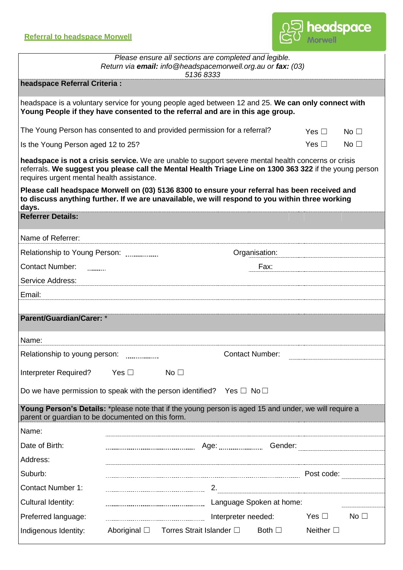

| Please ensure all sections are completed and legible.<br>Return via email: info@headspacemorwell.org.au or fax: (03)<br>51368333                                                                                                                            |                                       |                 |                     |               |                   |                 |  |  |  |  |
|-------------------------------------------------------------------------------------------------------------------------------------------------------------------------------------------------------------------------------------------------------------|---------------------------------------|-----------------|---------------------|---------------|-------------------|-----------------|--|--|--|--|
| headspace Referral Criteria :                                                                                                                                                                                                                               |                                       |                 |                     |               |                   |                 |  |  |  |  |
| headspace is a voluntary service for young people aged between 12 and 25. We can only connect with<br>Young People if they have consented to the referral and are in this age group.                                                                        |                                       |                 |                     |               |                   |                 |  |  |  |  |
| The Young Person has consented to and provided permission for a referral?                                                                                                                                                                                   |                                       |                 |                     |               | Yes $\Box$        | No $\square$    |  |  |  |  |
| Is the Young Person aged 12 to 25?                                                                                                                                                                                                                          |                                       |                 |                     |               | Yes $\Box$        | No $\square$    |  |  |  |  |
| headspace is not a crisis service. We are unable to support severe mental health concerns or crisis<br>referrals. We suggest you please call the Mental Health Triage Line on 1300 363 322 if the young person<br>requires urgent mental health assistance. |                                       |                 |                     |               |                   |                 |  |  |  |  |
| Please call headspace Morwell on (03) 5136 8300 to ensure your referral has been received and<br>to discuss anything further. If we are unavailable, we will respond to you within three working<br>days.                                                   |                                       |                 |                     |               |                   |                 |  |  |  |  |
| <b>Referrer Details:</b>                                                                                                                                                                                                                                    |                                       |                 |                     |               |                   |                 |  |  |  |  |
| Name of Referrer:                                                                                                                                                                                                                                           |                                       |                 |                     |               |                   |                 |  |  |  |  |
| Relationship to Young Person:                                                                                                                                                                                                                               |                                       |                 |                     | Organisation: |                   |                 |  |  |  |  |
| <b>Contact Number:</b><br>.                                                                                                                                                                                                                                 |                                       |                 |                     | Fax:          |                   |                 |  |  |  |  |
| Service Address:                                                                                                                                                                                                                                            |                                       |                 |                     |               |                   |                 |  |  |  |  |
| Email:                                                                                                                                                                                                                                                      |                                       |                 |                     |               |                   |                 |  |  |  |  |
| <b>Parent/Guardian/Carer: *</b>                                                                                                                                                                                                                             |                                       |                 |                     |               |                   |                 |  |  |  |  |
| Name:                                                                                                                                                                                                                                                       |                                       |                 |                     |               |                   |                 |  |  |  |  |
| Relationship to young person:<br><b>Contact Number:</b>                                                                                                                                                                                                     |                                       |                 |                     |               |                   |                 |  |  |  |  |
| Interpreter Required?                                                                                                                                                                                                                                       | Yes $\Box$                            | No <sub>1</sub> |                     |               |                   |                 |  |  |  |  |
| Do we have permission to speak with the person identified? Yes $\Box$ No $\Box$                                                                                                                                                                             |                                       |                 |                     |               |                   |                 |  |  |  |  |
| Young Person's Details: *please note that if the young person is aged 15 and under, we will require a<br>parent or guardian to be documented on this form.                                                                                                  |                                       |                 |                     |               |                   |                 |  |  |  |  |
| Name:                                                                                                                                                                                                                                                       |                                       |                 |                     |               |                   |                 |  |  |  |  |
| Date of Birth:                                                                                                                                                                                                                                              |                                       |                 |                     |               |                   |                 |  |  |  |  |
| Address:                                                                                                                                                                                                                                                    |                                       |                 |                     |               |                   |                 |  |  |  |  |
| Suburb:                                                                                                                                                                                                                                                     |                                       |                 |                     |               | Post code:        |                 |  |  |  |  |
| <b>Contact Number 1:</b>                                                                                                                                                                                                                                    |                                       |                 |                     |               |                   |                 |  |  |  |  |
| Cultural Identity:                                                                                                                                                                                                                                          |                                       |                 |                     |               |                   |                 |  |  |  |  |
| Preferred language:                                                                                                                                                                                                                                         |                                       |                 | Interpreter needed: |               | Yes $\Box$        | No <sub>1</sub> |  |  |  |  |
| Indigenous Identity:                                                                                                                                                                                                                                        | Aboriginal □ Torres Strait Islander □ |                 |                     | Both $\Box$   | Neither $\square$ |                 |  |  |  |  |